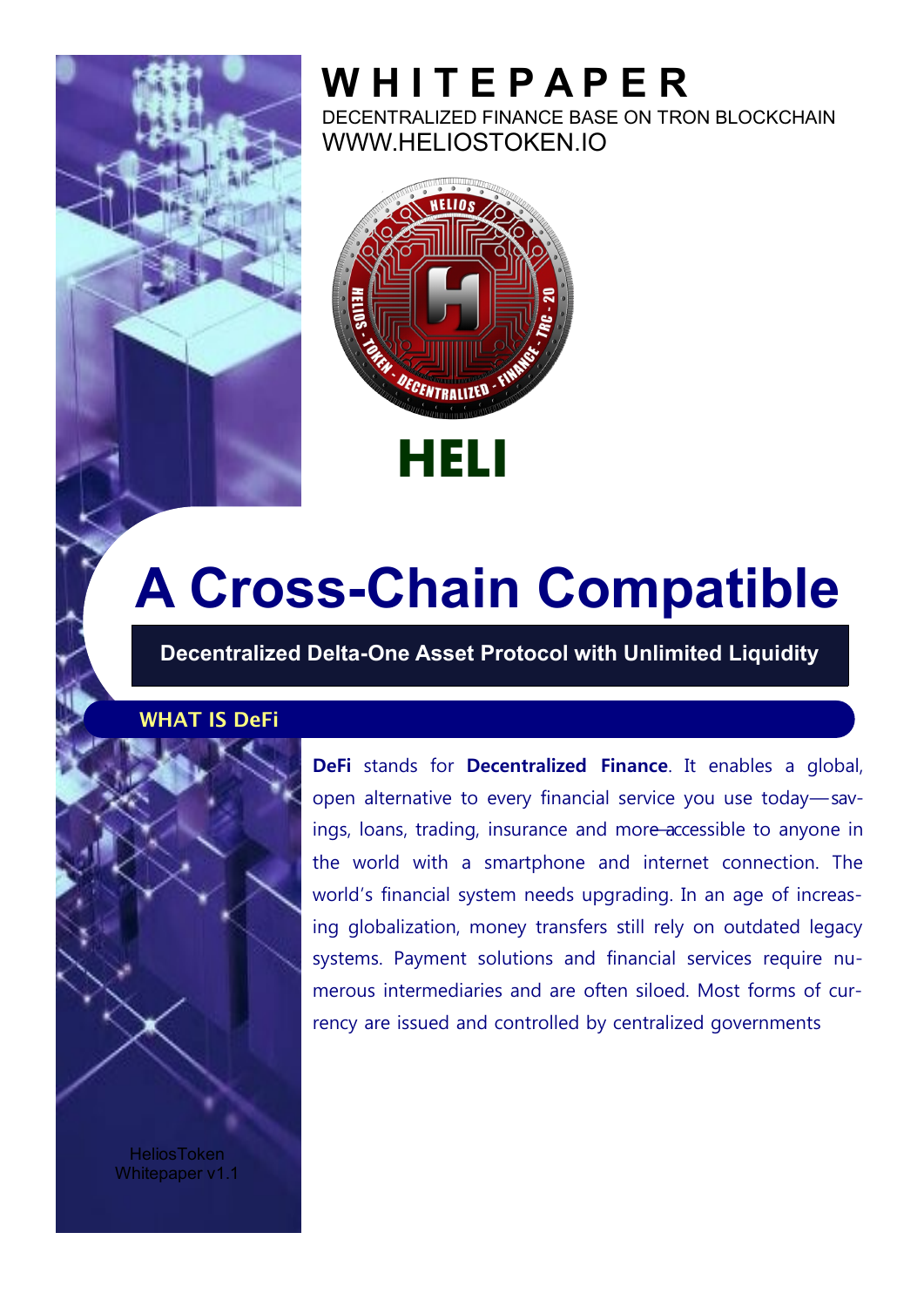

DECENTRALIZED FINANCE BASE ON TRON BLOCKCHAIN WWW.HELIOSTOKEN.IO



# **A Cross-Chain Compatible**

**Decentralized Delta-One Asset Protocol with Unlimited Liquidity**

#### **WHAT IS DeFi**



**DeFi** stands for **Decentralized Finance**. It enables a global, open alternative to every financial service you use today-savings, loans, trading, insurance and more accessible to anyone in the world with a smartphone and internet connection. The world's financial system needs upgrading. In an age of increasing globalization, money transfers still rely on outdated legacy systems. Payment solutions and financial services require numerous intermediaries and are often siloed. Most forms of currency are issued and controlled by centralized governments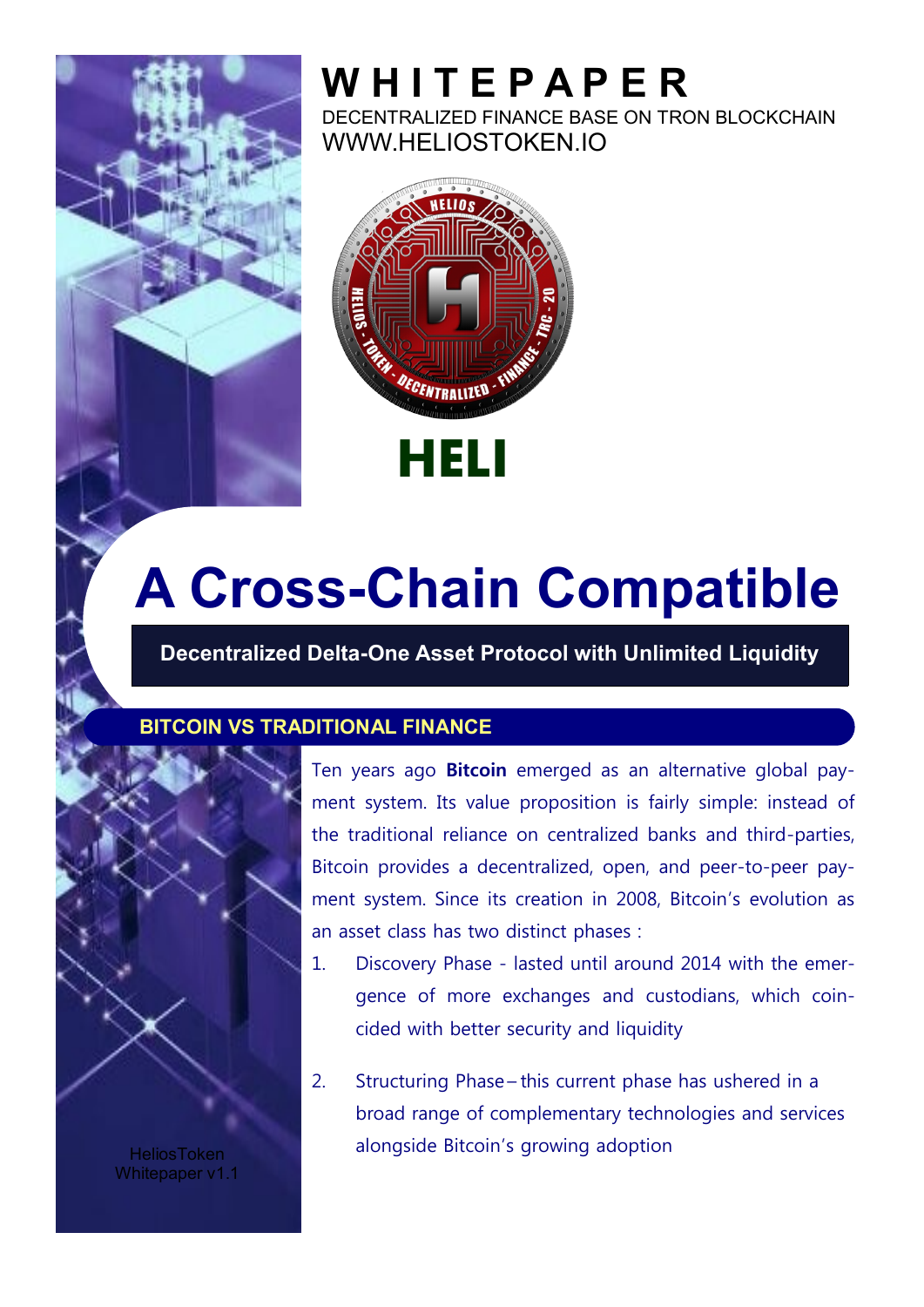

DECENTRALIZED FINANCE BASE ON TRON BLOCKCHAIN WWW.HELIOSTOKEN.IO



# **A Cross-Chain Compatible**

**Decentralized Delta-One Asset Protocol with Unlimited Liquidity**

#### **BITCOIN VS TRADITIONAL FINANCE**



Ten years ago **Bitcoin** emerged as an alternative global payment system. Its value proposition is fairly simple: instead of the traditional reliance on centralized banks and third-parties, Bitcoin provides a decentralized, open, and peer-to-peer payment system. Since its creation in 2008, Bitcoin's evolution as an asset class has two distinct phases :

- 1. Discovery Phase lasted until around 2014 with the emergence of more exchanges and custodians, which coincided with better security and liquidity
- 2. Structuring Phase this current phase has ushered in a broad range of complementary technologies and services alongside Bitcoin's growing adoption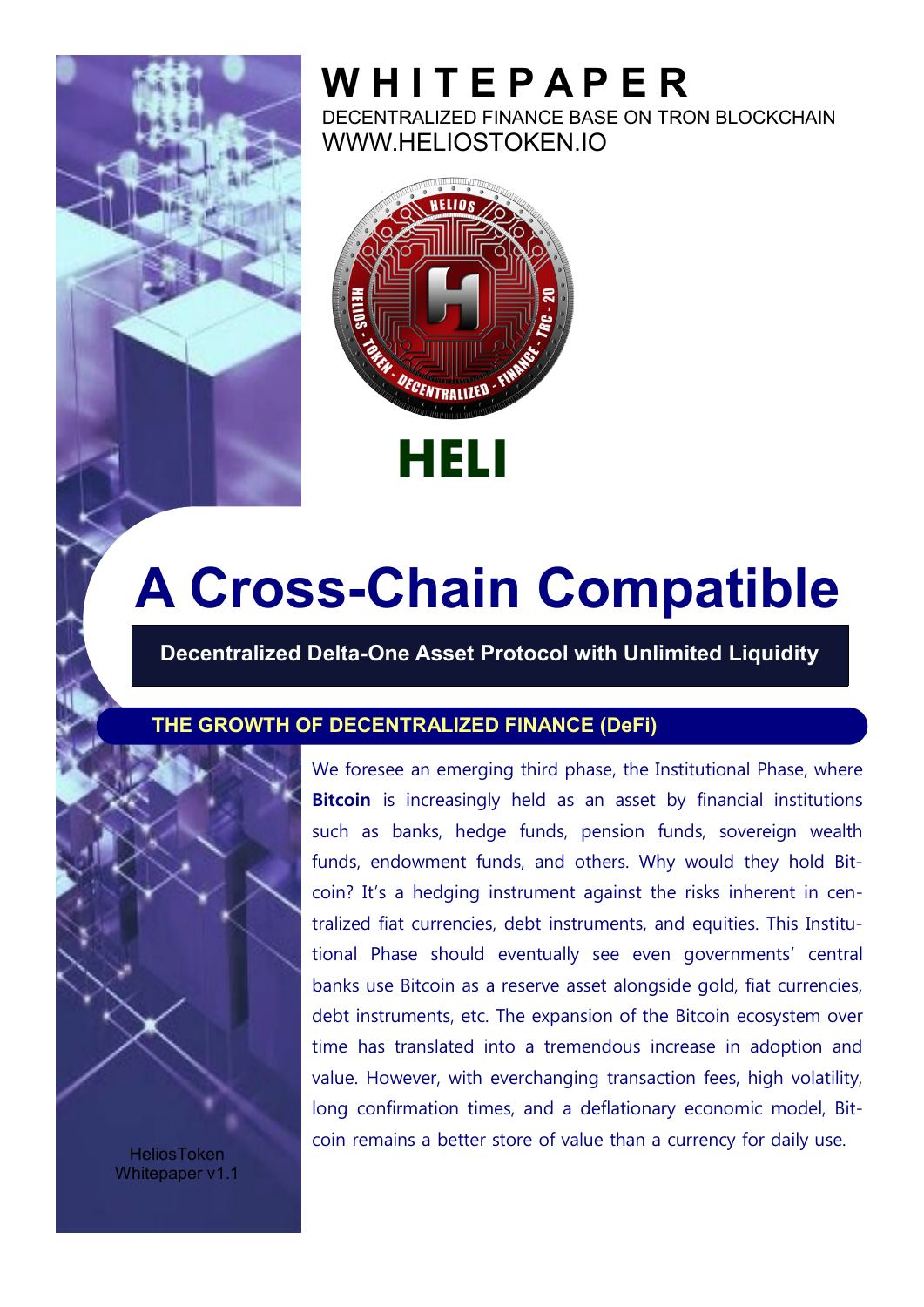

DECENTRALIZED FINANCE BASE ON TRON BLOCKCHAIN WWW.HELIOSTOKEN.IO



# **A Cross-Chain Compatible**

**Decentralized Delta-One Asset Protocol with Unlimited Liquidity**

#### **THE GROWTH OF DECENTRALIZED FINANCE (DeFi)**



**HeliosToken** Whitepaper v1.1 We foresee an emerging third phase, the Institutional Phase, where **Bitcoin** is increasingly held as an asset by financial institutions such as banks, hedge funds, pension funds, sovereign wealth funds, endowment funds, and others. Why would they hold Bitcoin? It's a hedging instrument against the risks inherent in centralized fiat currencies, debt instruments, and equities. This Institutional Phase should eventually see even governments' central banks use Bitcoin as a reserve asset alongside gold, fiat currencies, debt instruments, etc. The expansion of the Bitcoin ecosystem over time has translated into a tremendous increase in adoption and value. However, with everchanging transaction fees, high volatility, long confirmation times, and a deflationary economic model, Bitcoin remains a better store of value than a currency for daily use.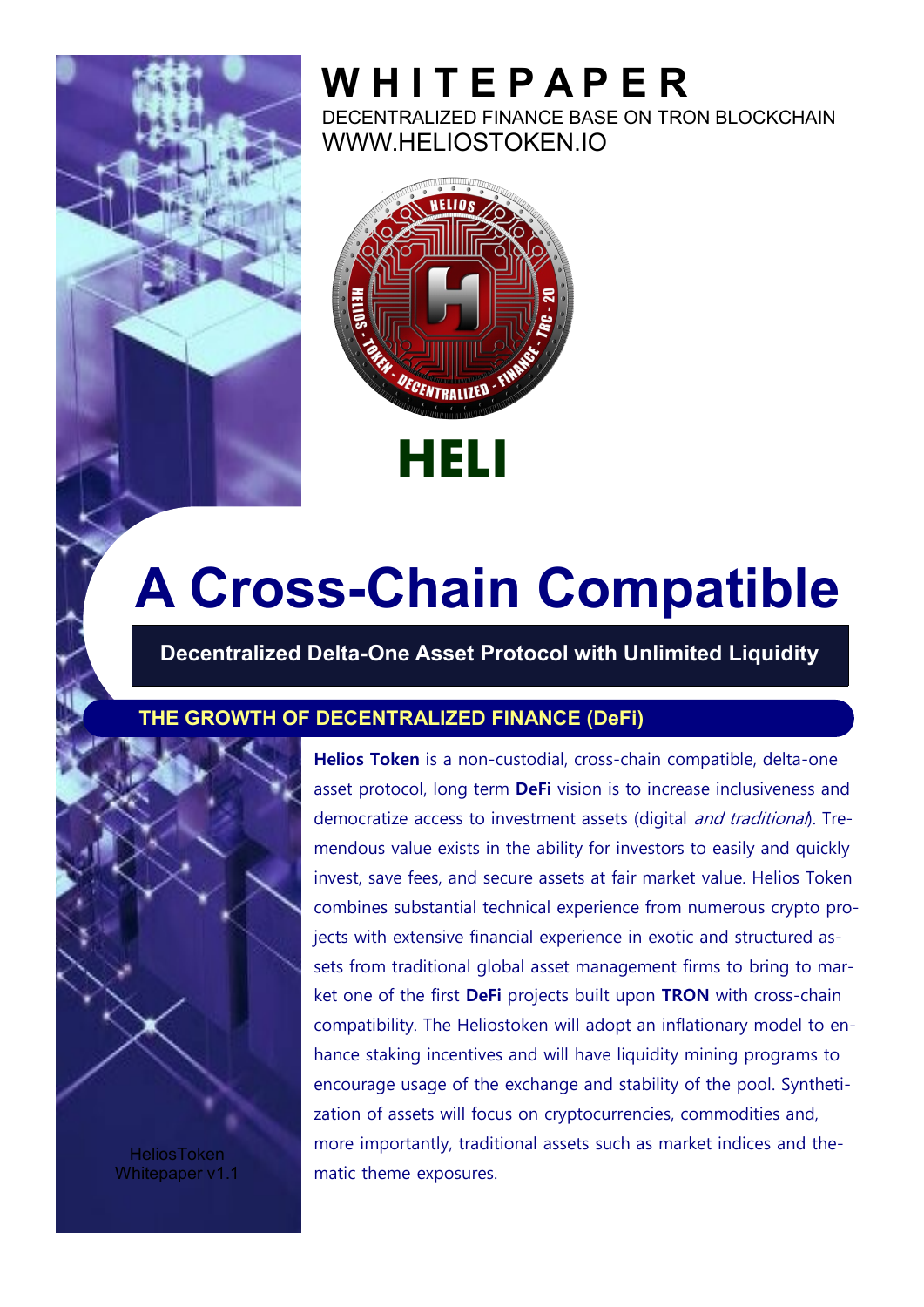

DECENTRALIZED FINANCE BASE ON TRON BLOCKCHAIN WWW.HELIOSTOKEN.IO



# **A Cross-Chain Compatible**

**Decentralized Delta-One Asset Protocol with Unlimited Liquidity**

#### **THE GROWTH OF DECENTRALIZED FINANCE (DeFi)**



**HeliosToken** Whitepaper v1.1

**Helios Token** is a non-custodial, cross-chain compatible, delta-one asset protocol, long term **DeFi** vision is to increase inclusiveness and democratize access to investment assets (digital and traditional). Tremendous value exists in the ability for investors to easily and quickly invest, save fees, and secure assets at fair market value. Helios Token combines substantial technical experience from numerous crypto projects with extensive financial experience in exotic and structured assets from traditional global asset management firms to bring to market one of the first **DeFi** projects built upon **TRON** with cross-chain compatibility. The Heliostoken will adopt an inflationary model to enhance staking incentives and will have liquidity mining programs to encourage usage of the exchange and stability of the pool. Synthetization of assets will focus on cryptocurrencies, commodities and, more importantly, traditional assets such as market indices and thematic theme exposures.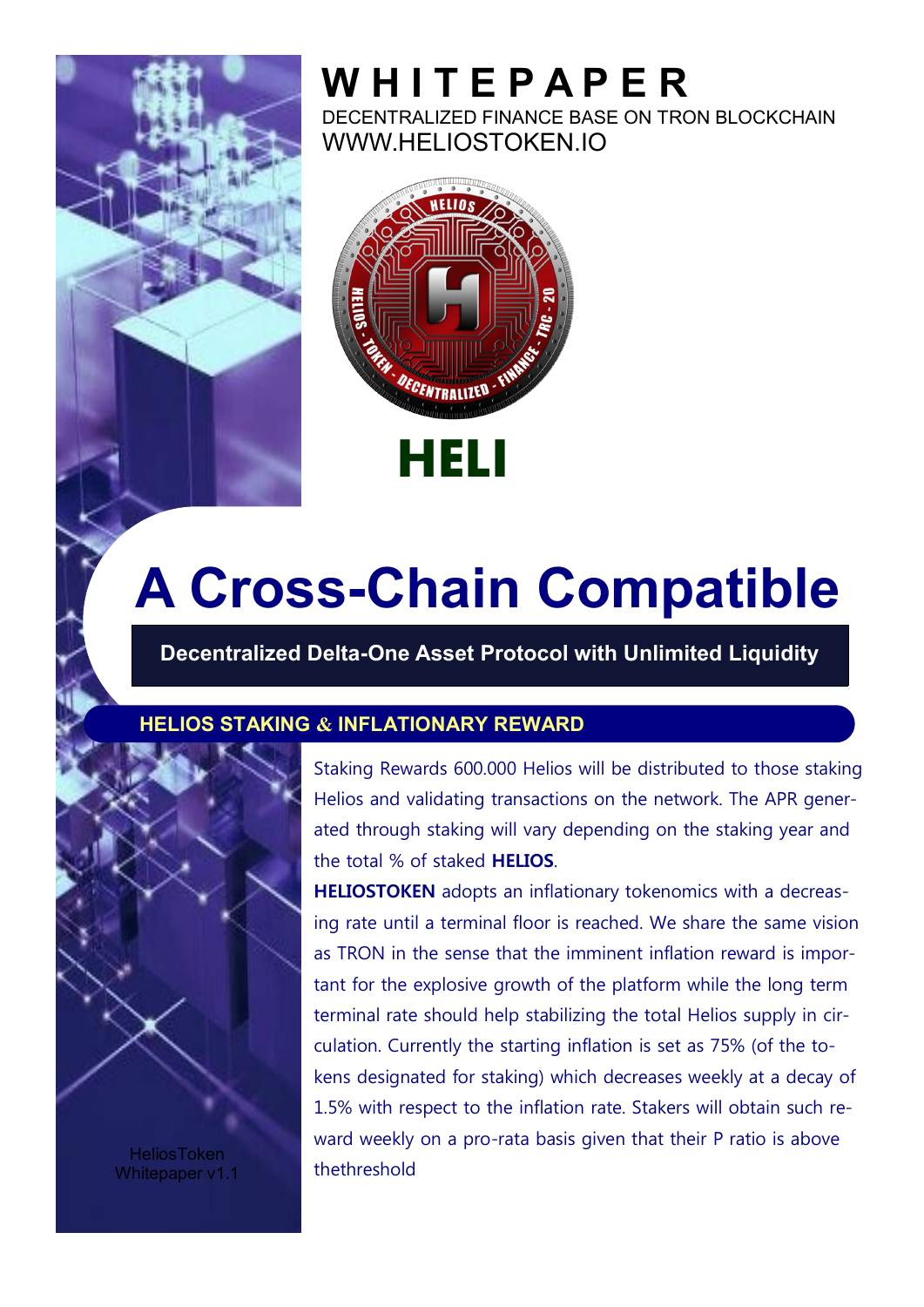

DECENTRALIZED FINANCE BASE ON TRON BLOCKCHAIN WWW.HELIOSTOKEN.IO



# **A Cross-Chain Compatible**

**Decentralized Delta-One Asset Protocol with Unlimited Liquidity**

#### **HELIOS STAKING & INFLATIONARY REWARD**



**HeliosToken** Whitepaper v1.1 Staking Rewards 600.000 Helios will be distributed to those staking Helios and validating transactions on the network. The APR generated through staking will vary depending on the staking year and the total % of staked **HELIOS**.

**HELIOSTOKEN** adopts an inflationary tokenomics with a decreasing rate until a terminal floor is reached. We share the same vision as TRON in the sense that the imminent inflation reward is important for the explosive growth of the platform while the long term terminal rate should help stabilizing the total Helios supply in circulation. Currently the starting inflation is set as 75% (of the tokens designated for staking) which decreases weekly at a decay of 1.5% with respect to the inflation rate. Stakers will obtain such reward weekly on a pro-rata basis given that their P ratio is above thethreshold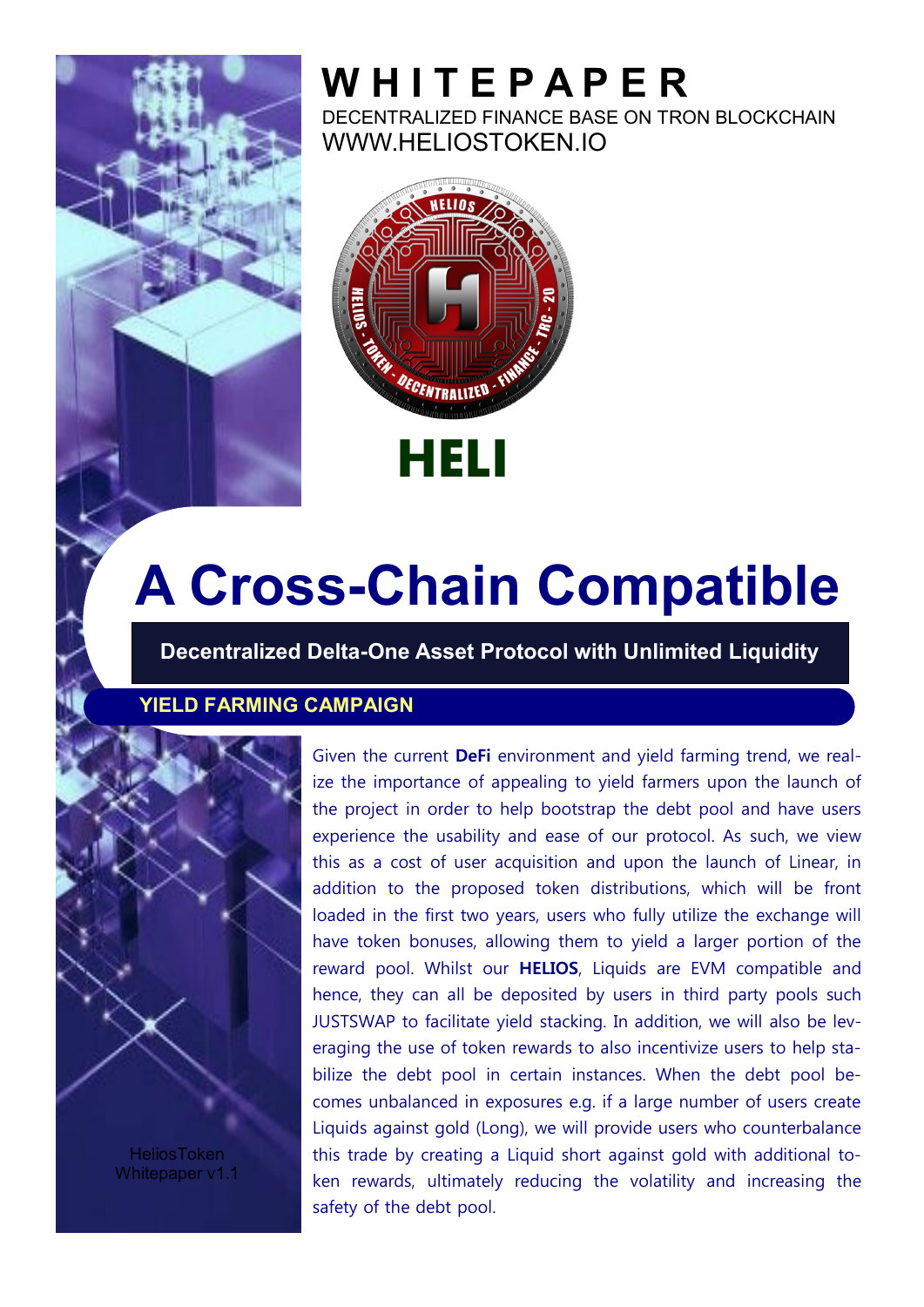

DECENTRALIZED FINANCE BASE ON TRON BLOCKCHAIN WWW.HELIOSTOKEN.IO



## **A Cross-Chain Compatible**

**Decentralized Delta-One Asset Protocol with Unlimited Liquidity**

#### **YIELD FARMING CAMPAIGN**



**HeliosToken** Whitepaper v1.1

Given the current **DeFi** environment and yield farming trend, we realize the importance of appealing to yield farmers upon the launch of the project in order to help bootstrap the debt pool and have users experience the usability and ease of our protocol. As such, we view this as a cost of user acquisition and upon the launch of Linear, in addition to the proposed token distributions, which will be front loaded in the first two years, users who fully utilize the exchange will have token bonuses, allowing them to yield a larger portion of the reward pool. Whilst our **HELIOS**, Liquids are EVM compatible and hence, they can all be deposited by users in third party pools such JUSTSWAP to facilitate yield stacking. In addition, we will also be leveraging the use of token rewards to also incentivize users to help stabilize the debt pool in certain instances. When the debt pool becomes unbalanced in exposures e.g. if a large number of users create Liquids against gold (Long), we will provide users who counterbalance this trade by creating a Liquid short against gold with additional token rewards, ultimately reducing the volatility and increasing the safety of the debt pool.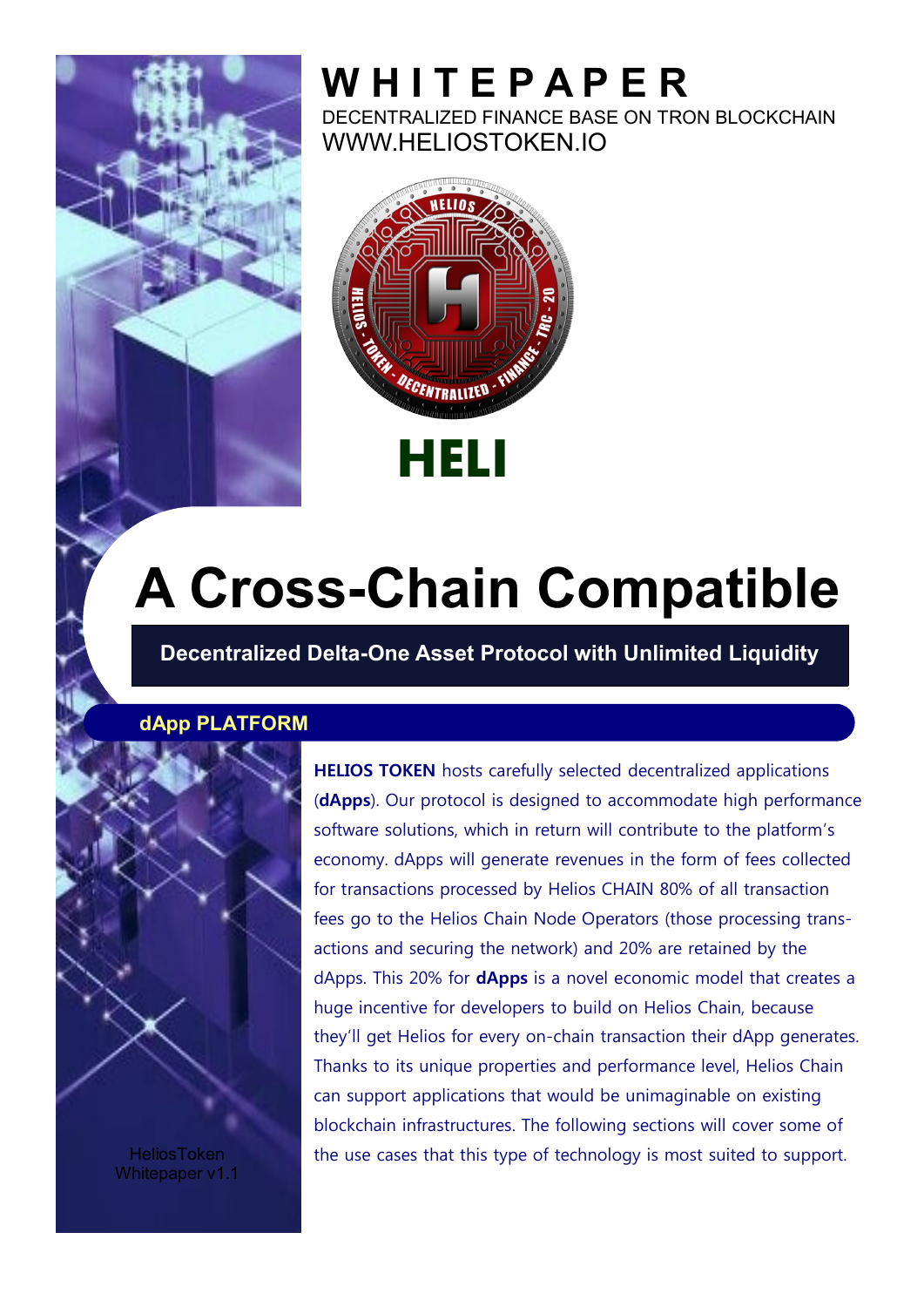

DECENTRALIZED FINANCE BASE ON TRON BLOCKCHAIN WWW.HELIOSTOKEN.IO



# **A Cross-Chain Compatible**

**Decentralized Delta-One Asset Protocol with Unlimited Liquidity**

#### **dApp PLATFORM**



**HeliosToken** Whitepaper v1.1 **HELIOS TOKEN** hosts carefully selected decentralized applications (**dApps**). Our protocol is designed to accommodate high performance software solutions, which in return will contribute to the platform's economy. dApps will generate revenues in the form of fees collected for transactions processed by Helios CHAIN 80% of all transaction fees go to the Helios Chain Node Operators (those processing transactions and securing the network) and 20% are retained by the dApps. This 20% for **dApps** is a novel economic model that creates a huge incentive for developers to build on Helios Chain, because they'll get Helios for every on-chain transaction their dApp generates. Thanks to its unique properties and performance level, Helios Chain can support applications that would be unimaginable on existing blockchain infrastructures. The following sections will cover some of the use cases that this type of technology is most suited to support.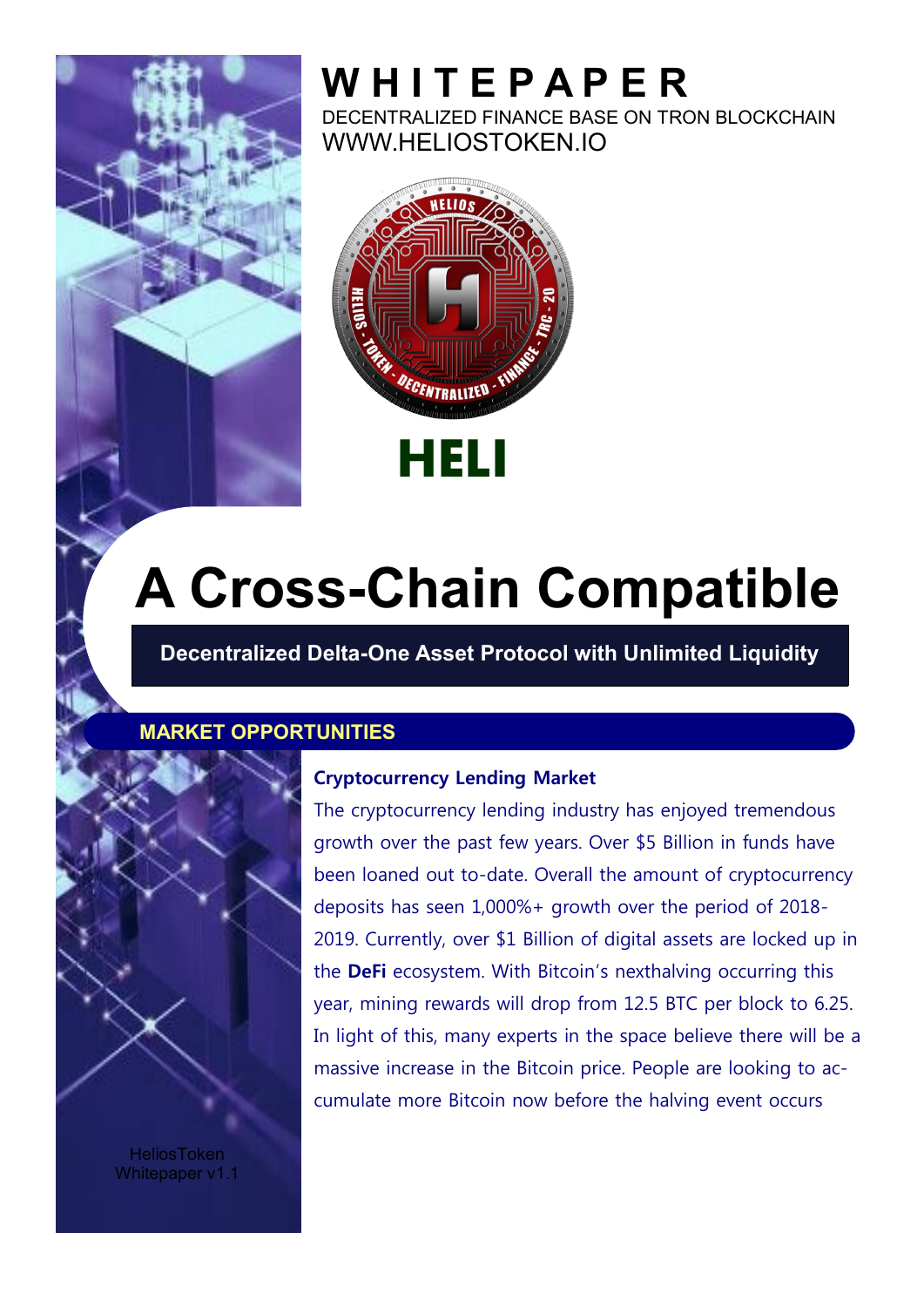

DECENTRALIZED FINANCE BASE ON TRON BLOCKCHAIN WWW.HELIOSTOKEN.IO



# **A Cross-Chain Compatible**

**Decentralized Delta-One Asset Protocol with Unlimited Liquidity**

#### **MARKET OPPORTUNITIES**



**HeliosToken** Whitepaper v1.1

#### **Cryptocurrency Lending Market**

The cryptocurrency lending industry has enjoyed tremendous growth over the past few years. Over \$5 Billion in funds have been loaned out to-date. Overall the amount of cryptocurrency deposits has seen 1,000%+ growth over the period of 2018- 2019. Currently, over \$1 Billion of digital assets are locked up in the **DeFi** ecosystem. With Bitcoin's nexthalving occurring this year, mining rewards will drop from 12.5 BTC per block to 6.25. In light of this, many experts in the space believe there will be a massive increase in the Bitcoin price. People are looking to accumulate more Bitcoin now before the halving event occurs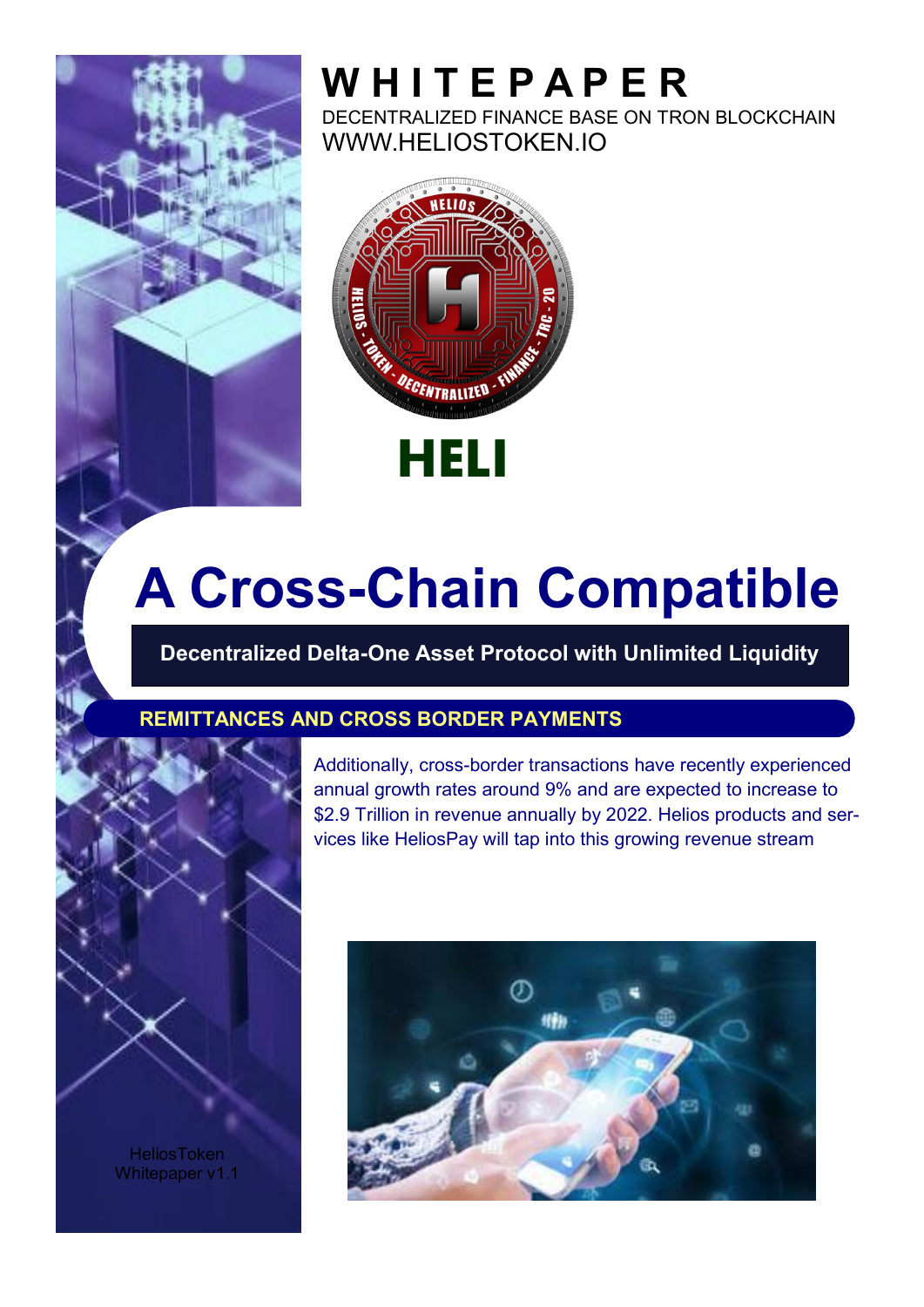

DECENTRALIZED FINANCE BASE ON TRON BLOCKCHAIN WWW.HELIOSTOKEN.IO



# **A Cross-Chain Compatible**

**Decentralized Delta-One Asset Protocol with Unlimited Liquidity**

#### **REMITTANCES AND CROSS BORDER PAYMENTS**



Additionally, cross-border transactions have recently experienced annual growth rates around 9% and are expected to increase to \$2.9 Trillion in revenue annually by 2022. Helios products and services like HeliosPay will tap into this growing revenue stream